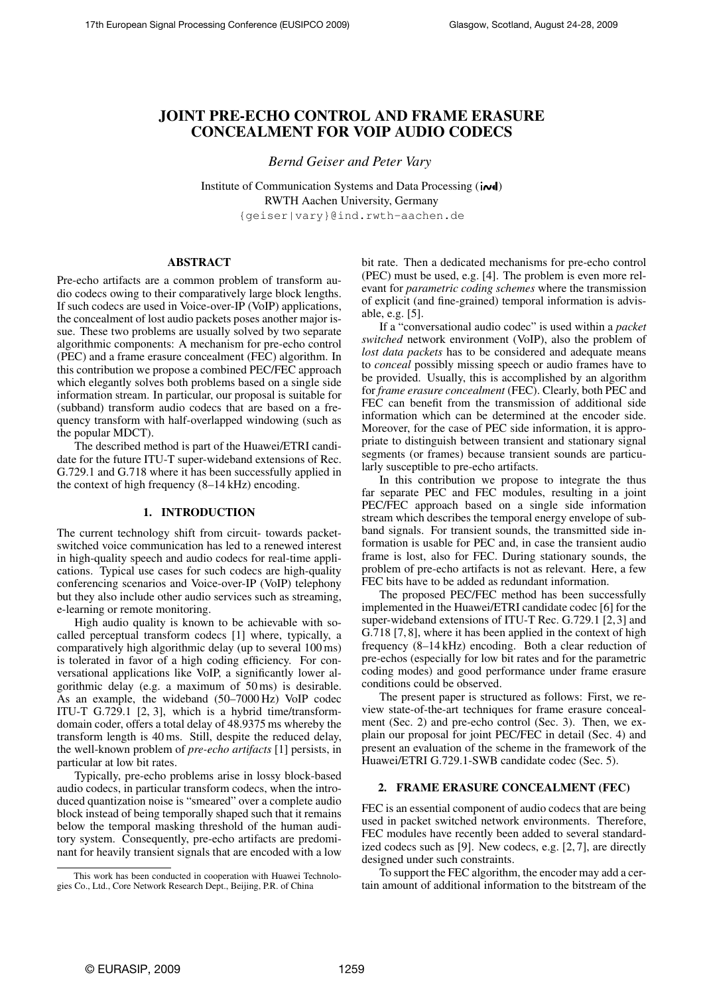# JOINT PRE-ECHO CONTROL AND FRAME ERASURE CONCEALMENT FOR VOIP AUDIO CODECS

*Bernd Geiser and Peter Vary*

Institute of Communication Systems and Data Processing ( $\text{i}$ RWTH Aachen University, Germany {geiser|vary}@ind.rwth-aachen.de

## ABSTRACT

Pre-echo artifacts are a common problem of transform audio codecs owing to their comparatively large block lengths. If such codecs are used in Voice-over-IP (VoIP) applications, the concealment of lost audio packets poses another major issue. These two problems are usually solved by two separate algorithmic components: A mechanism for pre-echo control (PEC) and a frame erasure concealment (FEC) algorithm. In this contribution we propose a combined PEC/FEC approach which elegantly solves both problems based on a single side information stream. In particular, our proposal is suitable for (subband) transform audio codecs that are based on a frequency transform with half-overlapped windowing (such as the popular MDCT).

The described method is part of the Huawei/ETRI candidate for the future ITU-T super-wideband extensions of Rec. G.729.1 and G.718 where it has been successfully applied in the context of high frequency (8–14 kHz) encoding.

## 1. INTRODUCTION

The current technology shift from circuit- towards packetswitched voice communication has led to a renewed interest in high-quality speech and audio codecs for real-time applications. Typical use cases for such codecs are high-quality conferencing scenarios and Voice-over-IP (VoIP) telephony but they also include other audio services such as streaming, e-learning or remote monitoring.

High audio quality is known to be achievable with socalled perceptual transform codecs [1] where, typically, a comparatively high algorithmic delay (up to several 100 ms) is tolerated in favor of a high coding efficiency. For conversational applications like VoIP, a significantly lower algorithmic delay (e.g. a maximum of 50 ms) is desirable. As an example, the wideband (50–7000 Hz) VoIP codec ITU-T G.729.1 [2, 3], which is a hybrid time/transformdomain coder, offers a total delay of 48.9375 ms whereby the transform length is 40 ms. Still, despite the reduced delay, the well-known problem of *pre-echo artifacts* [1] persists, in particular at low bit rates.

Typically, pre-echo problems arise in lossy block-based audio codecs, in particular transform codecs, when the introduced quantization noise is "smeared" over a complete audio block instead of being temporally shaped such that it remains below the temporal masking threshold of the human auditory system. Consequently, pre-echo artifacts are predominant for heavily transient signals that are encoded with a low bit rate. Then a dedicated mechanisms for pre-echo control (PEC) must be used, e.g. [4]. The problem is even more relevant for *parametric coding schemes* where the transmission of explicit (and fine-grained) temporal information is advisable, e.g. [5].

If a "conversational audio codec" is used within a *packet switched* network environment (VoIP), also the problem of *lost data packets* has to be considered and adequate means to *conceal* possibly missing speech or audio frames have to be provided. Usually, this is accomplished by an algorithm for *frame erasure concealment* (FEC). Clearly, both PEC and FEC can benefit from the transmission of additional side information which can be determined at the encoder side. Moreover, for the case of PEC side information, it is appropriate to distinguish between transient and stationary signal segments (or frames) because transient sounds are particularly susceptible to pre-echo artifacts.

In this contribution we propose to integrate the thus far separate PEC and FEC modules, resulting in a joint PEC/FEC approach based on a single side information stream which describes the temporal energy envelope of subband signals. For transient sounds, the transmitted side information is usable for PEC and, in case the transient audio frame is lost, also for FEC. During stationary sounds, the problem of pre-echo artifacts is not as relevant. Here, a few FEC bits have to be added as redundant information.

The proposed PEC/FEC method has been successfully implemented in the Huawei/ETRI candidate codec [6] for the super-wideband extensions of ITU-T Rec. G.729.1 [2, 3] and G.718 [7, 8], where it has been applied in the context of high frequency (8–14 kHz) encoding. Both a clear reduction of pre-echos (especially for low bit rates and for the parametric coding modes) and good performance under frame erasure conditions could be observed.

The present paper is structured as follows: First, we review state-of-the-art techniques for frame erasure concealment (Sec. 2) and pre-echo control (Sec. 3). Then, we explain our proposal for joint PEC/FEC in detail (Sec. 4) and present an evaluation of the scheme in the framework of the Huawei/ETRI G.729.1-SWB candidate codec (Sec. 5).

## 2. FRAME ERASURE CONCEALMENT (FEC)

FEC is an essential component of audio codecs that are being used in packet switched network environments. Therefore, FEC modules have recently been added to several standardized codecs such as [9]. New codecs, e.g. [2, 7], are directly designed under such constraints.

To support the FEC algorithm, the encoder may add a certain amount of additional information to the bitstream of the

This work has been conducted in cooperation with Huawei Technologies Co., Ltd., Core Network Research Dept., Beijing, P.R. of China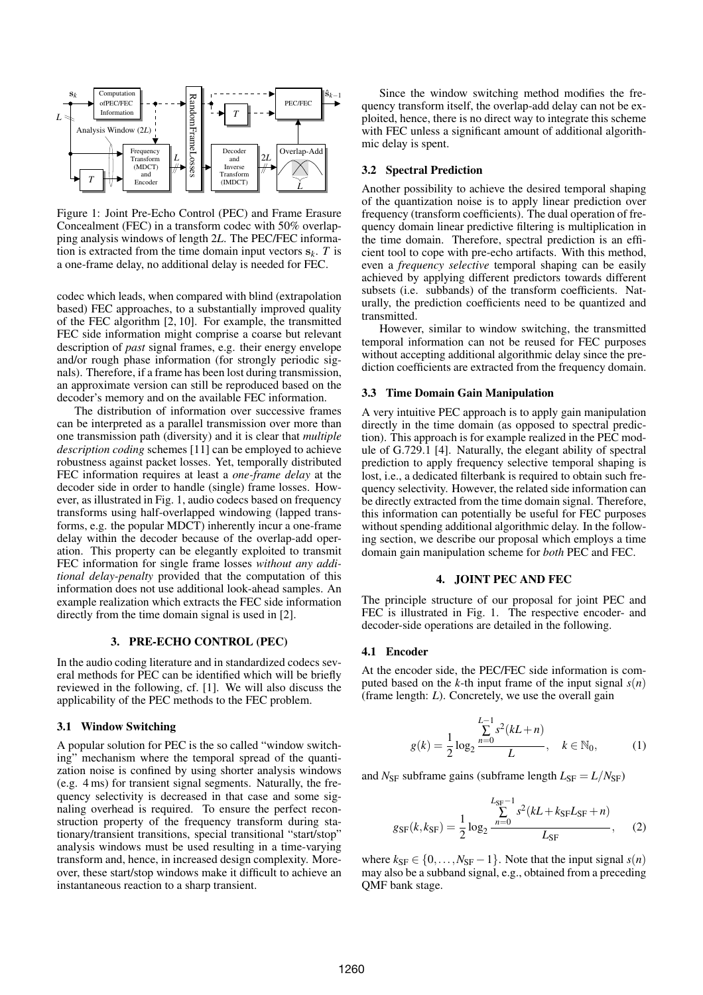

Figure 1: Joint Pre-Echo Control (PEC) and Frame Erasure Concealment (FEC) in a transform codec with 50% overlapping analysis windows of length 2*L*. The PEC/FEC information is extracted from the time domain input vectors  $s_k$ . *T* is a one-frame delay, no additional delay is needed for FEC.

codec which leads, when compared with blind (extrapolation based) FEC approaches, to a substantially improved quality of the FEC algorithm [2, 10]. For example, the transmitted FEC side information might comprise a coarse but relevant description of *past* signal frames, e.g. their energy envelope and/or rough phase information (for strongly periodic signals). Therefore, if a frame has been lost during transmission, an approximate version can still be reproduced based on the decoder's memory and on the available FEC information.

The distribution of information over successive frames can be interpreted as a parallel transmission over more than one transmission path (diversity) and it is clear that *multiple description coding* schemes [11] can be employed to achieve robustness against packet losses. Yet, temporally distributed FEC information requires at least a *one-frame delay* at the decoder side in order to handle (single) frame losses. However, as illustrated in Fig. 1, audio codecs based on frequency transforms using half-overlapped windowing (lapped transforms, e.g. the popular MDCT) inherently incur a one-frame delay within the decoder because of the overlap-add operation. This property can be elegantly exploited to transmit FEC information for single frame losses *without any additional delay-penalty* provided that the computation of this information does not use additional look-ahead samples. An example realization which extracts the FEC side information directly from the time domain signal is used in [2].

## 3. PRE-ECHO CONTROL (PEC)

In the audio coding literature and in standardized codecs several methods for PEC can be identified which will be briefly reviewed in the following, cf. [1]. We will also discuss the applicability of the PEC methods to the FEC problem.

## 3.1 Window Switching

A popular solution for PEC is the so called "window switching" mechanism where the temporal spread of the quantization noise is confined by using shorter analysis windows (e.g. 4 ms) for transient signal segments. Naturally, the frequency selectivity is decreased in that case and some signaling overhead is required. To ensure the perfect reconstruction property of the frequency transform during stationary/transient transitions, special transitional "start/stop" analysis windows must be used resulting in a time-varying transform and, hence, in increased design complexity. Moreover, these start/stop windows make it difficult to achieve an instantaneous reaction to a sharp transient.

Since the window switching method modifies the frequency transform itself, the overlap-add delay can not be exploited, hence, there is no direct way to integrate this scheme with FEC unless a significant amount of additional algorithmic delay is spent.

## 3.2 Spectral Prediction

Another possibility to achieve the desired temporal shaping of the quantization noise is to apply linear prediction over frequency (transform coefficients). The dual operation of frequency domain linear predictive filtering is multiplication in the time domain. Therefore, spectral prediction is an efficient tool to cope with pre-echo artifacts. With this method, even a *frequency selective* temporal shaping can be easily achieved by applying different predictors towards different subsets (i.e. subbands) of the transform coefficients. Naturally, the prediction coefficients need to be quantized and transmitted.

However, similar to window switching, the transmitted temporal information can not be reused for FEC purposes without accepting additional algorithmic delay since the prediction coefficients are extracted from the frequency domain.

## 3.3 Time Domain Gain Manipulation

A very intuitive PEC approach is to apply gain manipulation directly in the time domain (as opposed to spectral prediction). This approach is for example realized in the PEC module of G.729.1 [4]. Naturally, the elegant ability of spectral prediction to apply frequency selective temporal shaping is lost, i.e., a dedicated filterbank is required to obtain such frequency selectivity. However, the related side information can be directly extracted from the time domain signal. Therefore, this information can potentially be useful for FEC purposes without spending additional algorithmic delay. In the following section, we describe our proposal which employs a time domain gain manipulation scheme for *both* PEC and FEC.

#### 4. JOINT PEC AND FEC

The principle structure of our proposal for joint PEC and FEC is illustrated in Fig. 1. The respective encoder- and decoder-side operations are detailed in the following.

#### 4.1 Encoder

At the encoder side, the PEC/FEC side information is computed based on the *k*-th input frame of the input signal  $s(n)$ (frame length: *L*). Concretely, we use the overall gain

$$
g(k) = \frac{1}{2} \log_2 \frac{\sum_{n=0}^{L-1} s^2 (kL + n)}{L}, \quad k \in \mathbb{N}_0,
$$
 (1)

and  $N_{\rm SF}$  subframe gains (subframe length  $L_{\rm SF} = L/N_{\rm SF}$ )

$$
g_{\rm SF}(k, k_{\rm SF}) = \frac{1}{2} \log_2 \frac{\sum_{n=0}^{L_{\rm SF}-1} s^2 (kL + k_{\rm SF} L_{\rm SF} + n)}{L_{\rm SF}},\tag{2}
$$

where  $k_{SF} \in \{0, \ldots, N_{SF} - 1\}$ . Note that the input signal  $s(n)$ may also be a subband signal, e.g., obtained from a preceding QMF bank stage.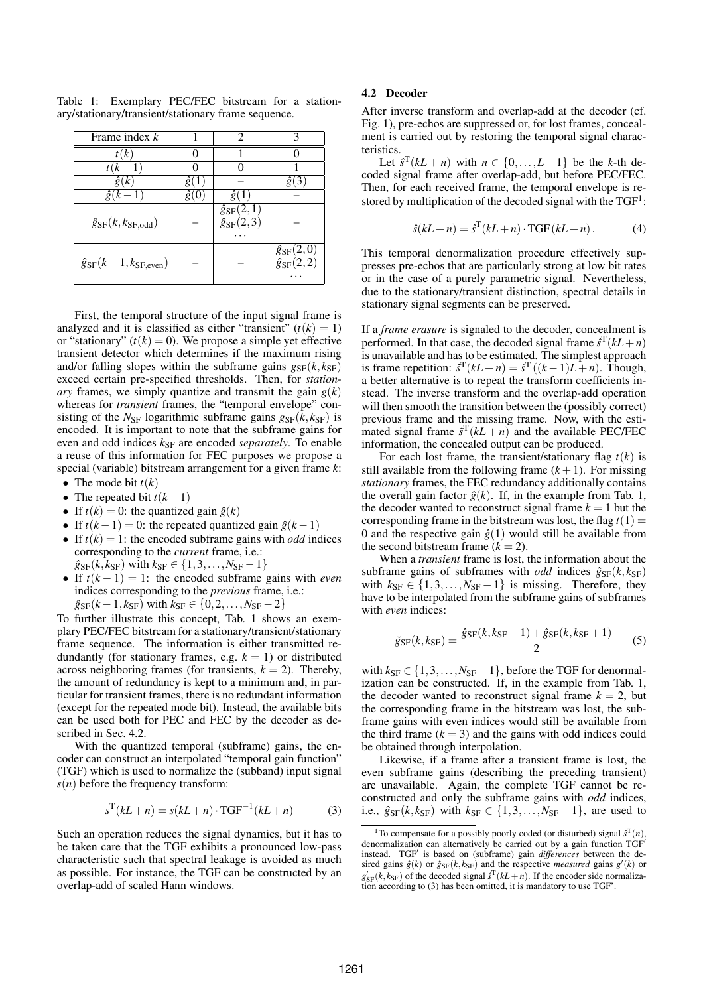| Frame index $k$                         |   |                                                    |                                                    |  |  |
|-----------------------------------------|---|----------------------------------------------------|----------------------------------------------------|--|--|
| (k)                                     |   |                                                    |                                                    |  |  |
| $t(k-$                                  |   |                                                    |                                                    |  |  |
| $\hat{g}(k)$                            | ğ |                                                    | g(3)                                               |  |  |
| $\hat{g}(k-1)$                          |   |                                                    |                                                    |  |  |
| $\hat{g}_{SF}(k, k_{SF,odd})$           |   | $\hat{g}_{\rm SF}(2,1)$<br>$\hat{g}_{\rm SF}(2,3)$ |                                                    |  |  |
| $\hat{g}_{\rm SF}(k-1,k_{\rm SF,even})$ |   |                                                    | $\hat{g}_{\rm SF}(2,0)$<br>$\hat{g}_{\rm SF}(2,2)$ |  |  |

Table 1: Exemplary PEC/FEC bitstream for a stationary/stationary/transient/stationary frame sequence.

First, the temporal structure of the input signal frame is analyzed and it is classified as either "transient"  $(t(k) = 1)$ or "stationary"  $(t(k) = 0)$ . We propose a simple yet effective transient detector which determines if the maximum rising and/or falling slopes within the subframe gains  $g_{\rm SF}(k, k_{\rm SF})$ exceed certain pre-specified thresholds. Then, for *stationary* frames, we simply quantize and transmit the gain  $g(k)$ whereas for *transient* frames, the "temporal envelope" consisting of the  $N_{\rm SF}$  logarithmic subframe gains  $g_{\rm SF}(k, k_{\rm SF})$  is encoded. It is important to note that the subframe gains for even and odd indices  $k_{\text{SF}}$  are encoded *separately*. To enable a reuse of this information for FEC purposes we propose a special (variable) bitstream arrangement for a given frame *k*:

- The mode bit  $t(k)$
- The repeated bit  $t(k-1)$
- If  $t(k) = 0$ : the quantized gain  $\hat{g}(k)$
- If  $t(k-1) = 0$ : the repeated quantized gain  $\hat{g}(k-1)$
- If  $t(k) = 1$ : the encoded subframe gains with *odd* indices corresponding to the *current* frame, i.e.:  $\hat{g}_{SF}(k, k_{SF})$  with  $k_{SF} \in \{1, 3, ..., N_{SF} - 1\}$
- If  $t(k-1) = 1$ : the encoded subframe gains with *even* indices corresponding to the *previous* frame, i.e.:  $\hat{g}_{SF}(k-1, k_{SF})$  with  $k_{SF} \in \{0, 2, ..., N_{SF} - 2\}$

To further illustrate this concept, Tab. 1 shows an exemplary PEC/FEC bitstream for a stationary/transient/stationary frame sequence. The information is either transmitted redundantly (for stationary frames, e.g.  $k = 1$ ) or distributed across neighboring frames (for transients,  $k = 2$ ). Thereby, the amount of redundancy is kept to a minimum and, in particular for transient frames, there is no redundant information (except for the repeated mode bit). Instead, the available bits can be used both for PEC and FEC by the decoder as described in Sec. 4.2.

With the quantized temporal (subframe) gains, the encoder can construct an interpolated "temporal gain function" (TGF) which is used to normalize the (subband) input signal  $s(n)$  before the frequency transform:

$$
s^{T}(kL+n) = s(kL+n) \cdot TGF^{-1}(kL+n)
$$
 (3)

Such an operation reduces the signal dynamics, but it has to be taken care that the TGF exhibits a pronounced low-pass characteristic such that spectral leakage is avoided as much as possible. For instance, the TGF can be constructed by an overlap-add of scaled Hann windows.

## 4.2 Decoder

After inverse transform and overlap-add at the decoder (cf. Fig. 1), pre-echos are suppressed or, for lost frames, concealment is carried out by restoring the temporal signal characteristics.

Let  $\hat{s}^T(kL + n)$  with  $n \in \{0, \ldots, L-1\}$  be the *k*-th decoded signal frame after overlap-add, but before PEC/FEC. Then, for each received frame, the temporal envelope is restored by multiplication of the decoded signal with the  $TGF<sup>1</sup>$ :

$$
\hat{s}(kL+n) = \hat{s}^{T}(kL+n) \cdot TGF(kL+n).
$$
 (4)

This temporal denormalization procedure effectively suppresses pre-echos that are particularly strong at low bit rates or in the case of a purely parametric signal. Nevertheless, due to the stationary/transient distinction, spectral details in stationary signal segments can be preserved.

If a *frame erasure* is signaled to the decoder, concealment is performed. In that case, the decoded signal frame  $\hat{s}^T(kL+n)$ is unavailable and has to be estimated. The simplest approach is frame repetition:  $\tilde{s}^T(kL+n) = \tilde{s}^T((k-1)L+n)$ . Though, a better alternative is to repeat the transform coefficients instead. The inverse transform and the overlap-add operation will then smooth the transition between the (possibly correct) previous frame and the missing frame. Now, with the estimated signal frame  $\bar{s}^T(kL+n)$  and the available PEC/FEC information, the concealed output can be produced.

For each lost frame, the transient/stationary flag  $t(k)$  is still available from the following frame  $(k+1)$ . For missing *stationary* frames, the FEC redundancy additionally contains the overall gain factor  $\hat{g}(k)$ . If, in the example from Tab. 1, the decoder wanted to reconstruct signal frame  $k = 1$  but the corresponding frame in the bitstream was lost, the flag  $t(1) =$ 0 and the respective gain  $\hat{g}(1)$  would still be available from the second bitstream frame  $(k = 2)$ .

When a *transient* frame is lost, the information about the subframe gains of subframes with *odd* indices  $\hat{g}_{SF}(k, k_{SF})$ with  $k_{SF} \in \{1, 3, ..., N_{SF} - 1\}$  is missing. Therefore, they have to be interpolated from the subframe gains of subframes with *even* indices:

$$
\tilde{g}_{\rm SF}(k, k_{\rm SF}) = \frac{\hat{g}_{\rm SF}(k, k_{\rm SF} - 1) + \hat{g}_{\rm SF}(k, k_{\rm SF} + 1)}{2} \tag{5}
$$

with  $k_{SF} \in \{1, 3, \ldots, N_{SF} - 1\}$ , before the TGF for denormalization can be constructed. If, in the example from Tab. 1, the decoder wanted to reconstruct signal frame  $k = 2$ , but the corresponding frame in the bitstream was lost, the subframe gains with even indices would still be available from the third frame  $(k = 3)$  and the gains with odd indices could be obtained through interpolation.

Likewise, if a frame after a transient frame is lost, the even subframe gains (describing the preceding transient) are unavailable. Again, the complete TGF cannot be reconstructed and only the subframe gains with *odd* indices, i.e.,  $\hat{g}_{SF}(k, k_{SF})$  with  $k_{SF} \in \{1, 3, \ldots, N_{SF} - 1\}$ , are used to

<sup>&</sup>lt;sup>1</sup>To compensate for a possibly poorly coded (or disturbed) signal  $\hat{s}^T(n)$ , denormalization can alternatively be carried out by a gain function TGF′ instead. TGF′ is based on (subframe) gain *differences* between the desired gains  $\hat{g}(k)$  or  $\hat{g}_{SF}(k, k_{SF})$  and the respective *measured* gains  $g'(k)$  or  $g'_{\rm SF}(k, k_{\rm SF})$  of the decoded signal  $\hat{s}^{\rm T}(kL+n)$ . If the encoder side normalization according to (3) has been omitted, it is mandatory to use TGF'.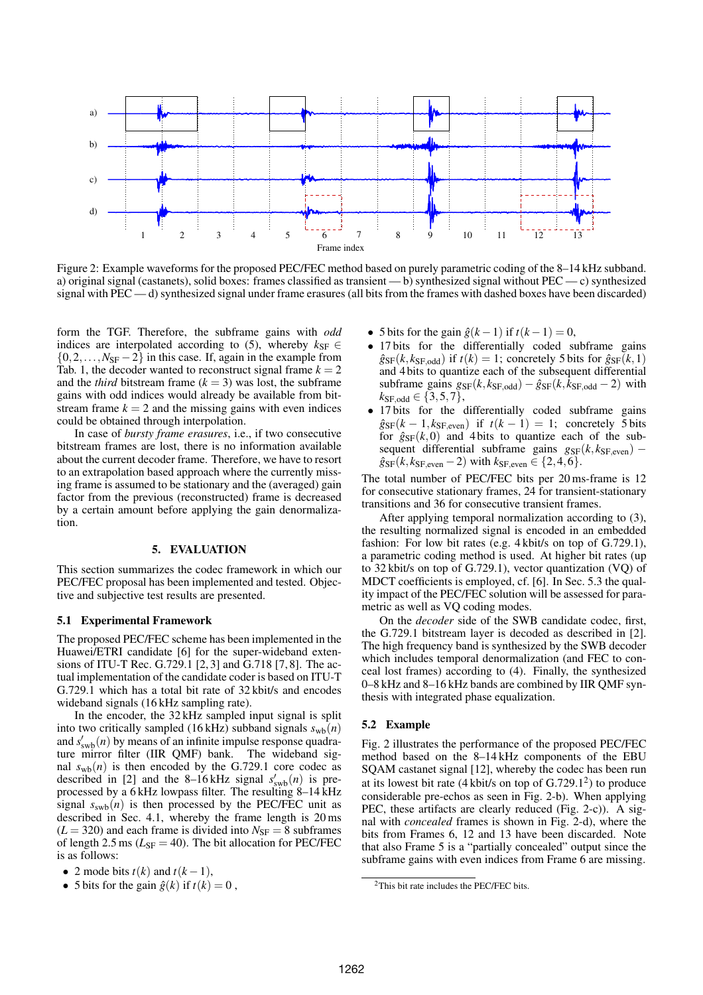

Figure 2: Example waveforms for the proposed PEC/FEC method based on purely parametric coding of the 8–14 kHz subband. a) original signal (castanets), solid boxes: frames classified as transient — b) synthesized signal without PEC — c) synthesized signal with PEC — d) synthesized signal under frame erasures (all bits from the frames with dashed boxes have been discarded)

form the TGF. Therefore, the subframe gains with *odd* indices are interpolated according to (5), whereby  $k_{SF} \in$  $\{0,2,\ldots,N_{\rm SF}-2\}$  in this case. If, again in the example from Tab. 1, the decoder wanted to reconstruct signal frame  $k = 2$ and the *third* bitstream frame  $(k = 3)$  was lost, the subframe gains with odd indices would already be available from bitstream frame  $k = 2$  and the missing gains with even indices could be obtained through interpolation.

In case of *bursty frame erasures*, i.e., if two consecutive bitstream frames are lost, there is no information available about the current decoder frame. Therefore, we have to resort to an extrapolation based approach where the currently missing frame is assumed to be stationary and the (averaged) gain factor from the previous (reconstructed) frame is decreased by a certain amount before applying the gain denormalization.

#### 5. EVALUATION

This section summarizes the codec framework in which our PEC/FEC proposal has been implemented and tested. Objective and subjective test results are presented.

#### 5.1 Experimental Framework

The proposed PEC/FEC scheme has been implemented in the Huawei/ETRI candidate [6] for the super-wideband extensions of ITU-T Rec. G.729.1 [2, 3] and G.718 [7, 8]. The actual implementation of the candidate coder is based on ITU-T G.729.1 which has a total bit rate of 32 kbit/s and encodes wideband signals (16 kHz sampling rate).

In the encoder, the 32 kHz sampled input signal is split into two critically sampled (16 kHz) subband signals  $s_{wb}(n)$ and  $s'_{\text{swb}}(n)$  by means of an infinite impulse response quadrature mirror filter (IIR QMF) bank. The wideband signal  $s_{\text{wb}}(n)$  is then encoded by the G.729.1 core codec as described in [2] and the 8–16 kHz signal  $s'_{\text{sub}}(n)$  is preprocessed by a 6 kHz lowpass filter. The resulting 8–14 kHz signal  $s<sub>swb</sub>(n)$  is then processed by the PEC/FEC unit as described in Sec. 4.1, whereby the frame length is 20 ms  $(L = 320)$  and each frame is divided into  $N_{SF} = 8$  subframes of length 2.5 ms ( $L_{\text{SF}} = 40$ ). The bit allocation for PEC/FEC is as follows:

• 5 bits for the gain  $\hat{g}(k)$  if  $t(k) = 0$ ,

- 5 bits for the gain  $\hat{g}(k-1)$  if  $t(k-1) = 0$ ,
- 17 bits for the differentially coded subframe gains  $\hat{g}_{SF}(k, k_{SF,odd})$  if  $t(k) = 1$ ; concretely 5 bits for  $\hat{g}_{SF}(k,1)$ and 4 bits to quantize each of the subsequent differential subframe gains  $g_{SF}(k, k_{SF,odd}) - \hat{g}_{SF}(k, k_{SF,odd} - 2)$  with  $k_{\text{SF,odd}} \in \{3, 5, 7\},\$
- 17 bits for the differentially coded subframe gains  $\hat{g}_{SF}(k-1, k_{SF,even})$  if  $t(k-1) = 1$ ; concretely 5 bits for  $\hat{g}_{SF}(k,0)$  and 4 bits to quantize each of the subsequent differential subframe gains  $g_{SF}(k, k_{SF,even})$  –  $\hat{g}_{SF}(k, k_{SF,even} - 2)$  with  $k_{SF,even} \in \{2, 4, 6\}.$

The total number of PEC/FEC bits per 20 ms-frame is 12 for consecutive stationary frames, 24 for transient-stationary transitions and 36 for consecutive transient frames.

After applying temporal normalization according to (3), the resulting normalized signal is encoded in an embedded fashion: For low bit rates (e.g. 4 kbit/s on top of G.729.1), a parametric coding method is used. At higher bit rates (up to 32 kbit/s on top of G.729.1), vector quantization (VQ) of MDCT coefficients is employed, cf. [6]. In Sec. 5.3 the quality impact of the PEC/FEC solution will be assessed for parametric as well as VQ coding modes.

On the *decoder* side of the SWB candidate codec, first, the G.729.1 bitstream layer is decoded as described in [2]. The high frequency band is synthesized by the SWB decoder which includes temporal denormalization (and FEC to conceal lost frames) according to (4). Finally, the synthesized 0–8 kHz and 8–16 kHz bands are combined by IIR QMF synthesis with integrated phase equalization.

#### 5.2 Example

Fig. 2 illustrates the performance of the proposed PEC/FEC method based on the 8–14 kHz components of the EBU SQAM castanet signal [12], whereby the codec has been run at its lowest bit rate  $(4 \text{ kbit/s on top of } G.729.1^2)$  to produce considerable pre-echos as seen in Fig. 2-b). When applying PEC, these artifacts are clearly reduced (Fig. 2-c)). A signal with *concealed* frames is shown in Fig. 2-d), where the bits from Frames 6, 12 and 13 have been discarded. Note that also Frame 5 is a "partially concealed" output since the subframe gains with even indices from Frame 6 are missing.

<sup>• 2</sup> mode bits  $t(k)$  and  $t(k-1)$ ,

<sup>2</sup>This bit rate includes the PEC/FEC bits.